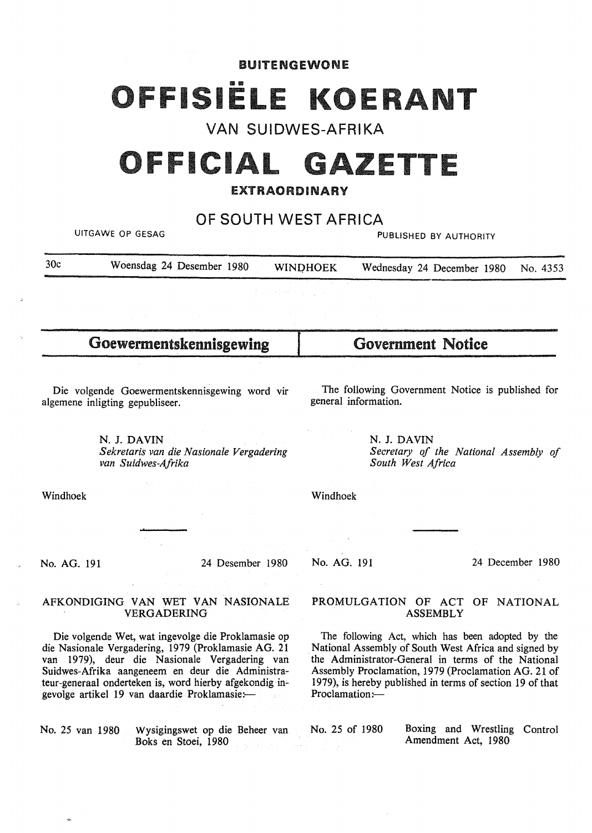#### BUITENGEWONE

# 191ËL <u>I</u>

# VAN SUIDWES-AFRIKA

# **OFFICIAL GAZETTE**

## **EXTRAORDINARY**

OF SOUTH WEST AFRICA

UITGAWE OP GESAG PUBLISHED BY AUTHORITY

| 30c | Woensdag 24 Desember 1980 |  | <b>WINDHOEK</b>                                                                                                                                                                                    | Wednesday 24 December 1980 No. 4353 |  |  |  |
|-----|---------------------------|--|----------------------------------------------------------------------------------------------------------------------------------------------------------------------------------------------------|-------------------------------------|--|--|--|
|     |                           |  |                                                                                                                                                                                                    |                                     |  |  |  |
|     |                           |  | $\mathcal{L}^{\mathcal{A}}(\mathcal{A})=\mathcal{L}^{\mathcal{A}}(\mathcal{A})\mathcal{L}^{\mathcal{A}}(\mathcal{A})=\mathcal{L}^{\mathcal{A}}(\mathcal{A})\mathcal{L}^{\mathcal{A}}(\mathcal{A})$ |                                     |  |  |  |

Goewermentskennisgewing

Die volgende Goewermentskennisgewing word vir algemene inligting gepubliseer.

> N. J. **DAVIN**  *Sekretaris van die Nasionale Vergadering van Suidwes-Afrika*

The following Government Notice is published for

Government Notice

N. J. **DAVIN**  *Secretary of the National Assembly of South West Africa* 

Windhoek

No. AG. 191 24 Desember 1980

Windhoek

general information.

No. AG. 191 24 December 1980

#### AFKONDIGING VAN WET VAN NASIONALE VERGADERING

Die volgende Wet, wat ingevolge die Proklamasie op die Nasionale Vergadering, 1979 (Proklamasie AG. 21 van 1979), deur die Nasionale Vergadering van Suidwes-Afrika aangeneem en deur die Administrateur-generaal onderteken is, word hierby afgekondig ingevolge artikel 19 van daardie Proklamasie:-

No. 25 van 1980 Wysigingswet op die Beheer van Boks en Stoei, 1980

#### PROMULGATION OF ACT OF NATIONAL ASSEMBLY

The following Act, which has been adopted by the National Assembly of South West Africa and signed by the Administrator-General in terms of the National Assembly Proclamation, 1979 (Proclamation AG. 21 of 1979), is hereby published in terms of section 19 of that Proclamation:-

No. 25 of 1980 Boxing and Wrestling Control Amendment Act, 1980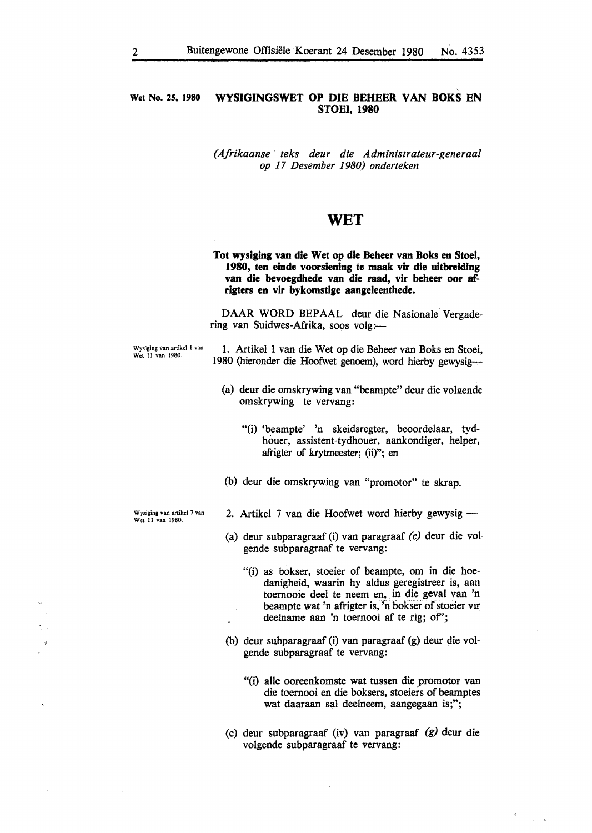#### **Wet No.** *25,* **1980 WYSIGINGSWET OP DIE BEHEER VAN BOKS EN STOEi, 1980**

*(Afrikaanse* · *teks deur die Administrateur-generaal op 17 Desember 1980) onderteken* 

### **WET**

**Tot wysiging van die Wet op die Debeer van Boks en Stoel, 1980, ten einde voorsiening te maak vir die uitbreidlng van die bevoegdhede van die raad, vir beheer oor afrigters en vir bykomstige aangeleenthede.** 

**DAAR WORD** BEPAAL deur die Nasionale Vergadering van Suidwes-Afrika, soos volg:-

Wysiging van artikel I van Wet II van 1980.

1. Artikel 1 van die Wet op die Beheer van Boks en Stoei, 1980 (hieronder die Hoofwet genoem), word hierby gewysig-

- (a) deur die omskrywing van "beampte" deur die volgende omskrywing te vervang:
	- "(i) 'beampte' 'n skeidsregter, beoordelaar, tydhouer, assistent-tydhouer, aankondiger, helper, afrigter of krytmeester; (ii)"; en
- (b) deur die omskrywing van "promotor" te skrap.

Wysiging van artikel 7 van Wet II van 1980.

 $\frac{1}{2}$ 

- 2. Artikel 7 van die Hoofwet word hierby gewysig -
- (a) deur subparagraaf (i) van paragraaf *(c)* deur die volgende subparagraaf te vervang:
	- "(i) as bokser, stoeier of beampte, om in die hoedanigheid, waarin hy aldus geregistreer is, aan toernooie deel te neem en, in die geval van 'n beampte wat 'n afrigter is, 'n bokser of stoeier vir deelname aan 'n toernooi af te rig; of";
- (b) deur subparagraaf (i) van paragraaf (g) deur die volgende subparagraaf te vervang:
	- "(i) alle ooreenkomste wat tussen die promotor van die toernooi en die boksers, stoeiers of beamptes wat daaraan sal deelneem, aangegaan is;";
- (c) deur subparagraaf (iv) van paragraaf *(g)* deur die volgende subparagraaf te vervang:

 $\mathcal{A}_1$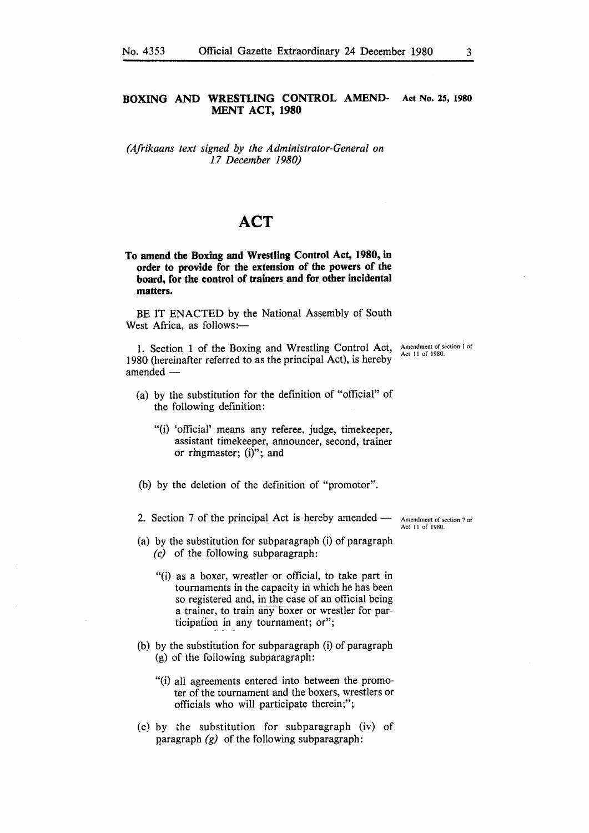#### **BOXING AND WRESTLING CONTROL AMEND- Act No. 25, 1980 MENT ACT, 1980**

*(Afrikaans text signed by the Administrator-General on 17 December 1980)* 

# **ACT**

**To amend the Boxing and Wrestling Control Act, 1980, in order to provide for the extension of the powers of the board, for the control of trainers and for other incidental matters.** 

BE IT ENACTED by the National Assembly of South West Africa, as follows:-

1. Section 1 of the Boxing and Wrestling Control Act, 1980 (hereinafter referred to as the principal Act), is hereby amended -

- (a) by the substitution for the definition of "official" of the following definition:
	- "(i) 'official' means any referee, judge, timekeeper, assistant timekeeper, announcer, second, trainer or ringmaster; (i)"; and
- (b) by the deletion of the definition of "promotor".
- 2. Section 7 of the principal Act is hereby amended Amendment of section 7 of

(a) by the substitution for subparagraph (i) of paragraph *(c)* of the following subparagraph:

- "(i) as a boxer, wrestler or official, to take part in tournaments in the capacity in which he has been so registered and, in the case of an official being a trainer, to train any boxer or wrestler for participation in any tournament; or";
- (b) by the substitution for subparagraph (i) of paragraph (g) of the following subparagraph:
	- "(i) all agreements entered into between the promoter of the tournament and the boxers, wrestlers or officials who will participate therein;";
- (c) by the substitution for subparagraph (iv) of paragraph  $(g)$  of the following subparagraph:

Act 11 of 1980.

**Amendment of section** I of Act 11 of 1980.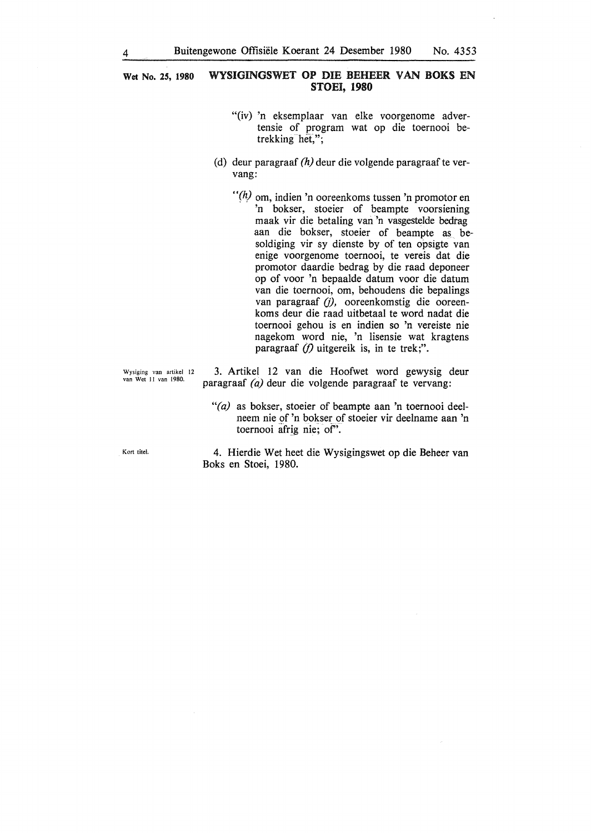**Wet No. 25, 1980 WYSIGINGSWET OP DIE BEHEER** VAN **BOKS** EN **STOEi, 1980** 

- "(iv) 'n eksemplaar van elke voorgenome advertensie of program wat op die toernooi betrekking het,";
- (d) deur paragraaf *(h)* deur die volgende paragraaf te vervang:
	- *"(h)* om, indien 'n ooreenkoms tussen 'n promotor en 'n bokser, stoeier of beampte voorsiening maak vir die betaling van 'n vasgestelde bedrag aan die bokser, stoeier of beampte as besoldiging vir sy dienste by of ten opsigte van enige voorgenome toernooi, te vereis dat die promotor daardie bedrag by die raad deponeer op of voor 'n bepaalde datum voor die datum van die toernooi, om, behoudens die bepalings van paragraaf (j), ooreenkomstig die ooreenkoms deur die raad uitbetaal te word nadat die toernooi gehou is en indien so 'n vereiste nie nagekom word nie, 'n lisensie wat kragtens paragraaf *(f)* uitgereik is, in te trek;".

Wysiging van artikel 12 van Wet 11 van 1980.

3. Artikel 12 van die Hoofwet word gewysig deur paragraaf *(a)* deur die volgende paragraaf te vervang:

*"(a)* as bokser, stoeier of beampte aan 'n toernooi deelneem nie of 'n bokser of stoeier vir deelname aan 'n toernooi afrig nie; of".

Kort titel.

4. Hierdie Wet heet die Wysigingswet op die Beheer van Boks en Stoei, 1980.